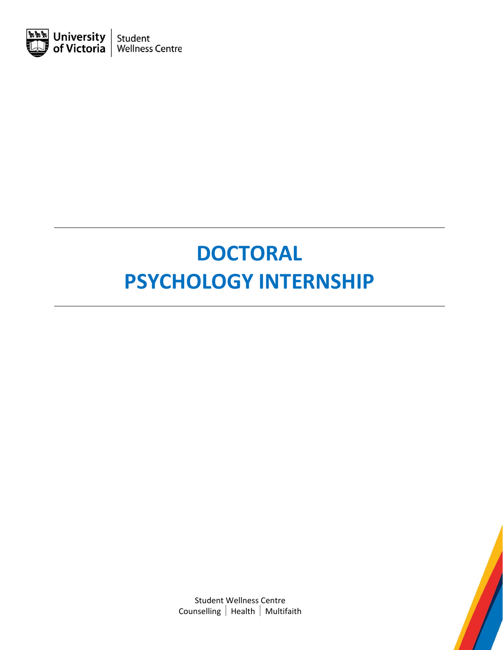

# **DOCTORAL PSYCHOLOGY INTERNSHIP**

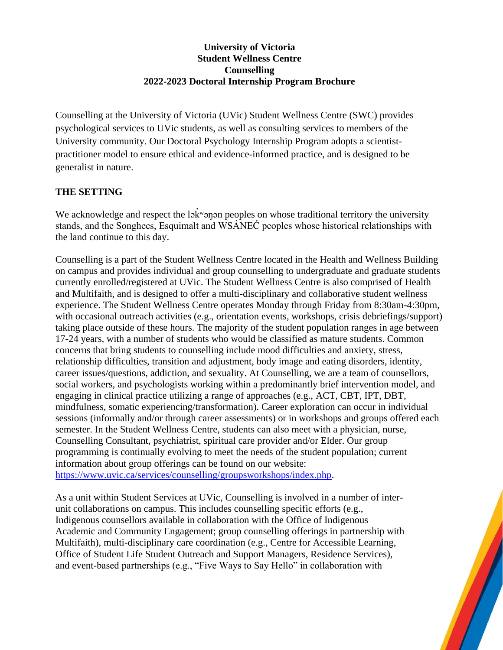## **University of Victoria Student Wellness Centre Counselling 2022-2023 Doctoral Internship Program Brochure**

Counselling at the University of Victoria (UVic) Student Wellness Centre (SWC) provides psychological services to UVic students, as well as consulting services to members of the University community. Our Doctoral Psychology Internship Program adopts a scientistpractitioner model to ensure ethical and evidence-informed practice, and is designed to be generalist in nature.

# **THE SETTING**

We acknowledge and respect the lak<sup>iv</sup>an peoples on whose traditional territory the university stands, and the Songhees, Esquimalt and WSÁNEĆ peoples whose historical relationships with the land continue to this day.

Counselling is a part of the Student Wellness Centre located in the Health and Wellness Building on campus and provides individual and group counselling to undergraduate and graduate students currently enrolled/registered at UVic. The Student Wellness Centre is also comprised of Health and Multifaith, and is designed to offer a multi-disciplinary and collaborative student wellness experience. The Student Wellness Centre operates Monday through Friday from 8:30am-4:30pm, with occasional outreach activities (e.g., orientation events, workshops, crisis debriefings/support) taking place outside of these hours. The majority of the student population ranges in age between 17-24 years, with a number of students who would be classified as mature students. Common concerns that bring students to counselling include mood difficulties and anxiety, stress, relationship difficulties, transition and adjustment, body image and eating disorders, identity, career issues/questions, addiction, and sexuality. At Counselling, we are a team of counsellors, social workers, and psychologists working within a predominantly brief intervention model, and engaging in clinical practice utilizing a range of approaches (e.g., ACT, CBT, IPT, DBT, mindfulness, somatic experiencing/transformation). Career exploration can occur in individual sessions (informally and/or through career assessments) or in workshops and groups offered each semester. In the Student Wellness Centre, students can also meet with a physician, nurse, Counselling Consultant, psychiatrist, spiritual care provider and/or Elder. Our group programming is continually evolving to meet the needs of the student population; current information about group offerings can be found on our website: [https://www.uvic.ca/services/counselling/groupsworkshops/index.php.](https://www.uvic.ca/services/counselling/groupsworkshops/index.php)

As a unit within Student Services at UVic, Counselling is involved in a number of interunit collaborations on campus. This includes counselling specific efforts (e.g., Indigenous counsellors available in collaboration with the Office of Indigenous Academic and Community Engagement; group counselling offerings in partnership with Multifaith), multi-disciplinary care coordination (e.g., Centre for Accessible Learning, Office of Student Life Student Outreach and Support Managers, Residence Services), and event-based partnerships (e.g., "Five Ways to Say Hello" in collaboration with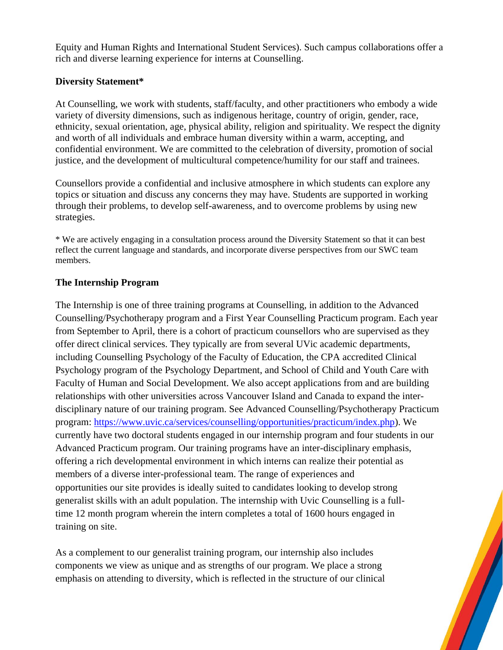Equity and Human Rights and International Student Services). Such campus collaborations offer a rich and diverse learning experience for interns at Counselling.

## **Diversity Statement\***

At Counselling, we work with students, staff/faculty, and other practitioners who embody a wide variety of diversity dimensions, such as indigenous heritage, country of origin, gender, race, ethnicity, sexual orientation, age, physical ability, religion and spirituality. We respect the dignity and worth of all individuals and embrace human diversity within a warm, accepting, and confidential environment. We are committed to the celebration of diversity, promotion of social justice, and the development of multicultural competence/humility for our staff and trainees.

Counsellors provide a confidential and inclusive atmosphere in which students can explore any topics or situation and discuss any concerns they may have. Students are supported in working through their problems, to develop self-awareness, and to overcome problems by using new strategies.

\* We are actively engaging in a consultation process around the Diversity Statement so that it can best reflect the current language and standards, and incorporate diverse perspectives from our SWC team members.

# **The Internship Program**

The Internship is one of three training programs at Counselling, in addition to the Advanced Counselling/Psychotherapy program and a First Year Counselling Practicum program. Each year from September to April, there is a cohort of practicum counsellors who are supervised as they offer direct clinical services. They typically are from several UVic academic departments, including Counselling Psychology of the Faculty of Education, the CPA accredited Clinical Psychology program of the Psychology Department, and School of Child and Youth Care with Faculty of Human and Social Development. We also accept applications from and are building relationships with other universities across Vancouver Island and Canada to expand the interdisciplinary nature of our training program. See Advanced Counselling/Psychotherapy Practicum program: [https://www.uvic.ca/services/counselling/opportunities/practicum/index.php\)](https://www.uvic.ca/services/counselling/opportunities/practicum/index.php). We currently have two doctoral students engaged in our internship program and four students in our Advanced Practicum program. Our training programs have an inter-disciplinary emphasis, offering a rich developmental environment in which interns can realize their potential as members of a diverse inter-professional team. The range of experiences and opportunities our site provides is ideally suited to candidates looking to develop strong generalist skills with an adult population. The internship with Uvic Counselling is a fulltime 12 month program wherein the intern completes a total of 1600 hours engaged in training on site.

As a complement to our generalist training program, our internship also includes components we view as unique and as strengths of our program. We place a strong emphasis on attending to diversity, which is reflected in the structure of our clinical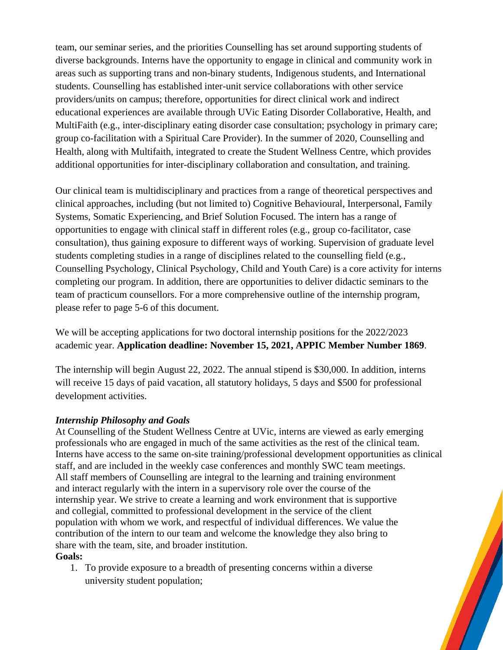team, our seminar series, and the priorities Counselling has set around supporting students of diverse backgrounds. Interns have the opportunity to engage in clinical and community work in areas such as supporting trans and non-binary students, Indigenous students, and International students. Counselling has established inter-unit service collaborations with other service providers/units on campus; therefore, opportunities for direct clinical work and indirect educational experiences are available through UVic Eating Disorder Collaborative, Health, and MultiFaith (e.g., inter-disciplinary eating disorder case consultation; psychology in primary care; group co-facilitation with a Spiritual Care Provider). In the summer of 2020, Counselling and Health, along with Multifaith, integrated to create the Student Wellness Centre, which provides additional opportunities for inter-disciplinary collaboration and consultation, and training.

Our clinical team is multidisciplinary and practices from a range of theoretical perspectives and clinical approaches, including (but not limited to) Cognitive Behavioural, Interpersonal, Family Systems, Somatic Experiencing, and Brief Solution Focused. The intern has a range of opportunities to engage with clinical staff in different roles (e.g., group co-facilitator, case consultation), thus gaining exposure to different ways of working. Supervision of graduate level students completing studies in a range of disciplines related to the counselling field (e.g., Counselling Psychology, Clinical Psychology, Child and Youth Care) is a core activity for interns completing our program. In addition, there are opportunities to deliver didactic seminars to the team of practicum counsellors. For a more comprehensive outline of the internship program, please refer to page 5-6 of this document.

We will be accepting applications for two doctoral internship positions for the 2022/2023 academic year. **Application deadline: November 15, 2021, APPIC Member Number 1869**.

The internship will begin August 22, 2022. The annual stipend is \$30,000. In addition, interns will receive 15 days of paid vacation, all statutory holidays, 5 days and \$500 for professional development activities.

## *Internship Philosophy and Goals*

At Counselling of the Student Wellness Centre at UVic, interns are viewed as early emerging professionals who are engaged in much of the same activities as the rest of the clinical team. Interns have access to the same on-site training/professional development opportunities as clinical staff, and are included in the weekly case conferences and monthly SWC team meetings. All staff members of Counselling are integral to the learning and training environment and interact regularly with the intern in a supervisory role over the course of the internship year. We strive to create a learning and work environment that is supportive and collegial, committed to professional development in the service of the client population with whom we work, and respectful of individual differences. We value the contribution of the intern to our team and welcome the knowledge they also bring to share with the team, site, and broader institution. **Goals:**

1. To provide exposure to a breadth of presenting concerns within a diverse university student population;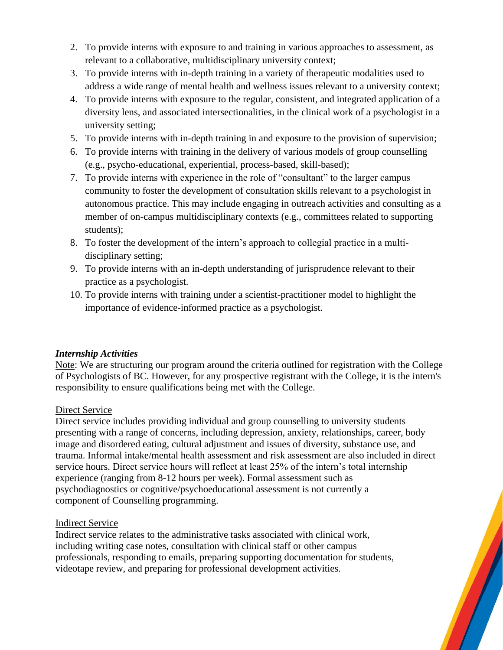- 2. To provide interns with exposure to and training in various approaches to assessment, as relevant to a collaborative, multidisciplinary university context;
- 3. To provide interns with in-depth training in a variety of therapeutic modalities used to address a wide range of mental health and wellness issues relevant to a university context;
- 4. To provide interns with exposure to the regular, consistent, and integrated application of a diversity lens, and associated intersectionalities, in the clinical work of a psychologist in a university setting;
- 5. To provide interns with in-depth training in and exposure to the provision of supervision;
- 6. To provide interns with training in the delivery of various models of group counselling (e.g., psycho-educational, experiential, process-based, skill-based);
- 7. To provide interns with experience in the role of "consultant" to the larger campus community to foster the development of consultation skills relevant to a psychologist in autonomous practice. This may include engaging in outreach activities and consulting as a member of on-campus multidisciplinary contexts (e.g., committees related to supporting students);
- 8. To foster the development of the intern's approach to collegial practice in a multidisciplinary setting;
- 9. To provide interns with an in-depth understanding of jurisprudence relevant to their practice as a psychologist.
- 10. To provide interns with training under a scientist-practitioner model to highlight the importance of evidence-informed practice as a psychologist.

## *Internship Activities*

Note: We are structuring our program around the criteria outlined for registration with the College of Psychologists of BC. However, for any prospective registrant with the College, it is the intern's responsibility to ensure qualifications being met with the College.

## Direct Service

Direct service includes providing individual and group counselling to university students presenting with a range of concerns, including depression, anxiety, relationships, career, body image and disordered eating, cultural adjustment and issues of diversity, substance use, and trauma. Informal intake/mental health assessment and risk assessment are also included in direct service hours. Direct service hours will reflect at least 25% of the intern's total internship experience (ranging from 8-12 hours per week). Formal assessment such as psychodiagnostics or cognitive/psychoeducational assessment is not currently a component of Counselling programming.

## Indirect Service

Indirect service relates to the administrative tasks associated with clinical work, including writing case notes, consultation with clinical staff or other campus professionals, responding to emails, preparing supporting documentation for students, videotape review, and preparing for professional development activities.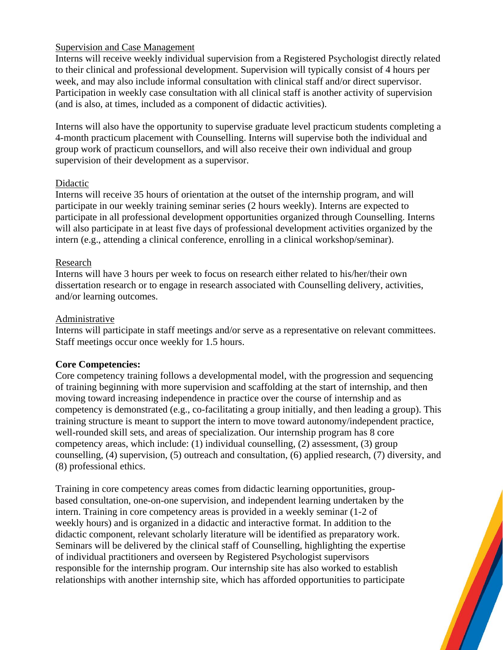## Supervision and Case Management

Interns will receive weekly individual supervision from a Registered Psychologist directly related to their clinical and professional development. Supervision will typically consist of 4 hours per week, and may also include informal consultation with clinical staff and/or direct supervisor. Participation in weekly case consultation with all clinical staff is another activity of supervision (and is also, at times, included as a component of didactic activities).

Interns will also have the opportunity to supervise graduate level practicum students completing a 4-month practicum placement with Counselling. Interns will supervise both the individual and group work of practicum counsellors, and will also receive their own individual and group supervision of their development as a supervisor.

#### Didactic

Interns will receive 35 hours of orientation at the outset of the internship program, and will participate in our weekly training seminar series (2 hours weekly). Interns are expected to participate in all professional development opportunities organized through Counselling. Interns will also participate in at least five days of professional development activities organized by the intern (e.g., attending a clinical conference, enrolling in a clinical workshop/seminar).

#### Research

Interns will have 3 hours per week to focus on research either related to his/her/their own dissertation research or to engage in research associated with Counselling delivery, activities, and/or learning outcomes.

## Administrative

Interns will participate in staff meetings and/or serve as a representative on relevant committees. Staff meetings occur once weekly for 1.5 hours.

## **Core Competencies:**

Core competency training follows a developmental model, with the progression and sequencing of training beginning with more supervision and scaffolding at the start of internship, and then moving toward increasing independence in practice over the course of internship and as competency is demonstrated (e.g., co-facilitating a group initially, and then leading a group). This training structure is meant to support the intern to move toward autonomy/independent practice, well-rounded skill sets, and areas of specialization. Our internship program has 8 core competency areas, which include: (1) individual counselling, (2) assessment, (3) group counselling, (4) supervision, (5) outreach and consultation, (6) applied research, (7) diversity, and (8) professional ethics.

Training in core competency areas comes from didactic learning opportunities, groupbased consultation, one-on-one supervision, and independent learning undertaken by the intern. Training in core competency areas is provided in a weekly seminar (1-2 of weekly hours) and is organized in a didactic and interactive format. In addition to the didactic component, relevant scholarly literature will be identified as preparatory work. Seminars will be delivered by the clinical staff of Counselling, highlighting the expertise of individual practitioners and overseen by Registered Psychologist supervisors responsible for the internship program. Our internship site has also worked to establish relationships with another internship site, which has afforded opportunities to participate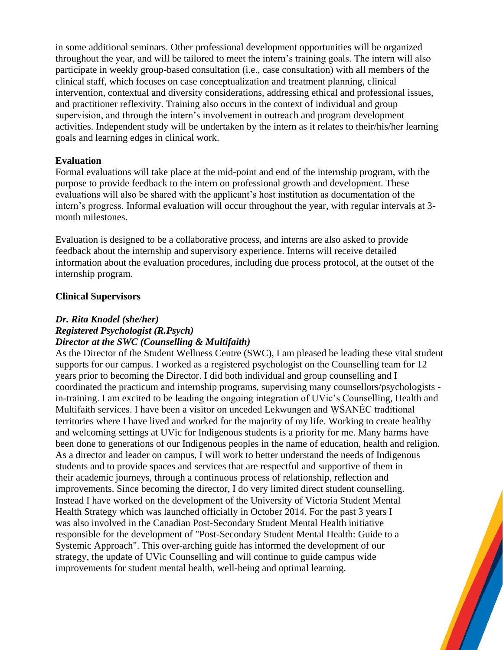in some additional seminars. Other professional development opportunities will be organized throughout the year, and will be tailored to meet the intern's training goals. The intern will also participate in weekly group-based consultation (i.e., case consultation) with all members of the clinical staff, which focuses on case conceptualization and treatment planning, clinical intervention, contextual and diversity considerations, addressing ethical and professional issues, and practitioner reflexivity. Training also occurs in the context of individual and group supervision, and through the intern's involvement in outreach and program development activities. Independent study will be undertaken by the intern as it relates to their/his/her learning goals and learning edges in clinical work.

## **Evaluation**

Formal evaluations will take place at the mid-point and end of the internship program, with the purpose to provide feedback to the intern on professional growth and development. These evaluations will also be shared with the applicant's host institution as documentation of the intern's progress. Informal evaluation will occur throughout the year, with regular intervals at 3 month milestones.

Evaluation is designed to be a collaborative process, and interns are also asked to provide feedback about the internship and supervisory experience. Interns will receive detailed information about the evaluation procedures, including due process protocol, at the outset of the internship program.

## **Clinical Supervisors**

## *Dr. Rita Knodel (she/her) Registered Psychologist (R.Psych) Director at the SWC (Counselling & Multifaith)*

As the Director of the Student Wellness Centre (SWC), I am pleased be leading these vital student supports for our campus. I worked as a registered psychologist on the Counselling team for 12 years prior to becoming the Director. I did both individual and group counselling and I coordinated the practicum and internship programs, supervising many counsellors/psychologists in-training. I am excited to be leading the ongoing integration of UVic's Counselling, Health and Multifaith services. I have been a visitor on unceded Lekwungen and WŚANÉC traditional territories where I have lived and worked for the majority of my life. Working to create healthy and welcoming settings at UVic for Indigenous students is a priority for me. Many harms have been done to generations of our Indigenous peoples in the name of education, health and religion. As a director and leader on campus, I will work to better understand the needs of Indigenous students and to provide spaces and services that are respectful and supportive of them in their academic journeys, through a continuous process of relationship, reflection and improvements. Since becoming the director, I do very limited direct student counselling. Instead I have worked on the development of the University of Victoria Student Mental Health Strategy which was launched officially in October 2014. For the past 3 years I was also involved in the Canadian Post-Secondary Student Mental Health initiative responsible for the development of "Post-Secondary Student Mental Health: Guide to a Systemic Approach". This over-arching guide has informed the development of our strategy, the update of UVic Counselling and will continue to guide campus wide improvements for student mental health, well-being and optimal learning.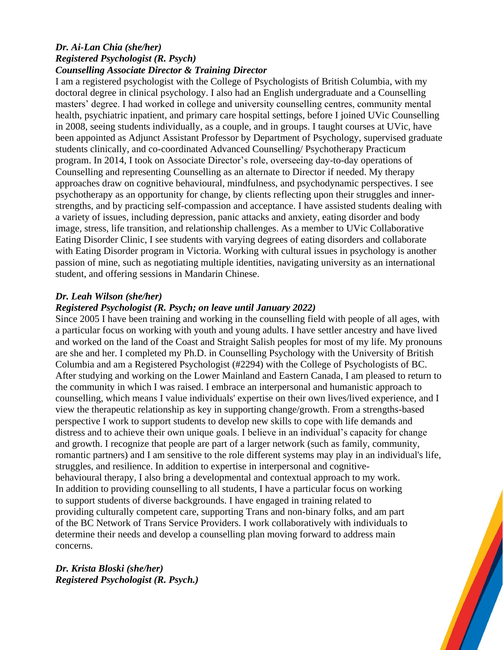#### *Dr. Ai-Lan Chia (she/her) Registered Psychologist (R. Psych) Counselling Associate Director & Training Director*

I am a registered psychologist with the College of Psychologists of British Columbia, with my doctoral degree in clinical psychology. I also had an English undergraduate and a Counselling masters' degree. I had worked in college and university counselling centres, community mental health, psychiatric inpatient, and primary care hospital settings, before I joined UVic Counselling in 2008, seeing students individually, as a couple, and in groups. I taught courses at UVic, have been appointed as Adjunct Assistant Professor by Department of Psychology, supervised graduate students clinically, and co-coordinated Advanced Counselling/ Psychotherapy Practicum program. In 2014, I took on Associate Director's role, overseeing day-to-day operations of Counselling and representing Counselling as an alternate to Director if needed. My therapy approaches draw on cognitive behavioural, mindfulness, and psychodynamic perspectives. I see psychotherapy as an opportunity for change, by clients reflecting upon their struggles and innerstrengths, and by practicing self-compassion and acceptance. I have assisted students dealing with a variety of issues, including depression, panic attacks and anxiety, eating disorder and body image, stress, life transition, and relationship challenges. As a member to UVic Collaborative Eating Disorder Clinic, I see students with varying degrees of eating disorders and collaborate with Eating Disorder program in Victoria. Working with cultural issues in psychology is another passion of mine, such as negotiating multiple identities, navigating university as an international student, and offering sessions in Mandarin Chinese.

## *Dr. Leah Wilson (she/her)*

## *Registered Psychologist (R. Psych; on leave until January 2022)*

Since 2005 I have been training and working in the counselling field with people of all ages, with a particular focus on working with youth and young adults. I have settler ancestry and have lived and worked on the land of the Coast and Straight Salish peoples for most of my life. My pronouns are she and her. I completed my Ph.D. in Counselling Psychology with the University of British Columbia and am a Registered Psychologist (#2294) with the College of Psychologists of BC. After studying and working on the Lower Mainland and Eastern Canada, I am pleased to return to the community in which I was raised. I embrace an interpersonal and humanistic approach to counselling, which means I value individuals' expertise on their own lives/lived experience, and I view the therapeutic relationship as key in supporting change/growth. From a strengths-based perspective I work to support students to develop new skills to cope with life demands and distress and to achieve their own unique goals. I believe in an individual's capacity for change and growth. I recognize that people are part of a larger network (such as family, community, romantic partners) and I am sensitive to the role different systems may play in an individual's life, struggles, and resilience. In addition to expertise in interpersonal and cognitivebehavioural therapy, I also bring a developmental and contextual approach to my work. In addition to providing counselling to all students, I have a particular focus on working to support students of diverse backgrounds. I have engaged in training related to providing culturally competent care, supporting Trans and non-binary folks, and am part of the BC Network of Trans Service Providers. I work collaboratively with individuals to determine their needs and develop a counselling plan moving forward to address main concerns.

*Dr. Krista Bloski (she/her) Registered Psychologist (R. Psych.)*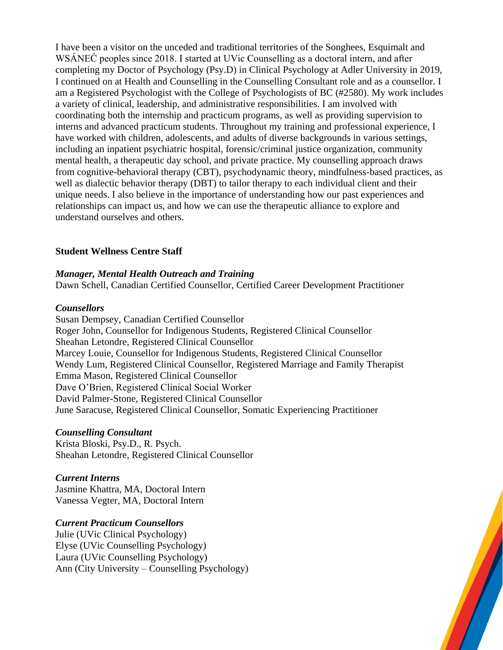I have been a visitor on the unceded and traditional territories of the Songhees, Esquimalt and WSÁNEĆ peoples since 2018. I started at UVic Counselling as a doctoral intern, and after completing my Doctor of Psychology (Psy.D) in Clinical Psychology at Adler University in 2019, I continued on at Health and Counselling in the Counselling Consultant role and as a counsellor. I am a Registered Psychologist with the College of Psychologists of BC (#2580). My work includes a variety of clinical, leadership, and administrative responsibilities. I am involved with coordinating both the internship and practicum programs, as well as providing supervision to interns and advanced practicum students. Throughout my training and professional experience, I have worked with children, adolescents, and adults of diverse backgrounds in various settings, including an inpatient psychiatric hospital, forensic/criminal justice organization, community mental health, a therapeutic day school, and private practice. My counselling approach draws from cognitive-behavioral therapy (CBT), psychodynamic theory, mindfulness-based practices, as well as dialectic behavior therapy (DBT) to tailor therapy to each individual client and their unique needs. I also believe in the importance of understanding how our past experiences and relationships can impact us, and how we can use the therapeutic alliance to explore and understand ourselves and others.

## **Student Wellness Centre Staff**

#### *Manager, Mental Health Outreach and Training*

Dawn Schell, Canadian Certified Counsellor, Certified Career Development Practitioner

#### *Counsellors*

Susan Dempsey, Canadian Certified Counsellor Roger John, Counsellor for Indigenous Students, Registered Clinical Counsellor Sheahan Letondre, Registered Clinical Counsellor Marcey Louie, Counsellor for Indigenous Students, Registered Clinical Counsellor Wendy Lum, Registered Clinical Counsellor, Registered Marriage and Family Therapist Emma Mason, Registered Clinical Counsellor Dave O'Brien, Registered Clinical Social Worker David Palmer-Stone, Registered Clinical Counsellor June Saracuse, Registered Clinical Counsellor, Somatic Experiencing Practitioner

#### *Counselling Consultant*

Krista Bloski, Psy.D., R. Psych. Sheahan Letondre, Registered Clinical Counsellor

#### *Current Interns*

Jasmine Khattra, MA, Doctoral Intern Vanessa Vegter, MA, Doctoral Intern

#### *Current Practicum Counsellors*

Julie (UVic Clinical Psychology) Elyse (UVic Counselling Psychology) Laura (UVic Counselling Psychology) Ann (City University – Counselling Psychology)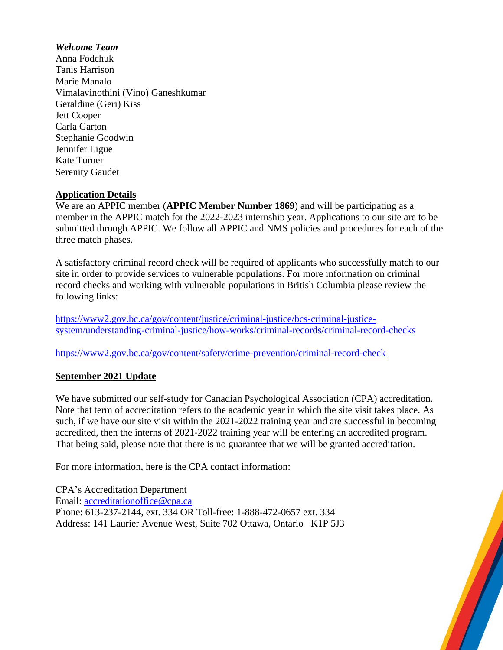*Welcome Team* Anna Fodchuk Tanis Harrison Marie Manalo Vimalavinothini (Vino) Ganeshkumar Geraldine (Geri) Kiss Jett Cooper Carla Garton Stephanie Goodwin Jennifer Ligue Kate Turner Serenity Gaudet

## **Application Details**

We are an APPIC member (**APPIC Member Number 1869**) and will be participating as a member in the APPIC match for the 2022-2023 internship year. Applications to our site are to be submitted through APPIC. We follow all APPIC and NMS policies and procedures for each of the three match phases.

A satisfactory criminal record check will be required of applicants who successfully match to our site in order to provide services to vulnerable populations. For more information on criminal record checks and working with vulnerable populations in British Columbia please review the following links:

[https://www2.gov.bc.ca/gov/content/justice/criminal-justice/bcs-criminal-justice](https://www2.gov.bc.ca/gov/content/justice/criminal-justice/bcs-criminal-justice-system/understanding-criminal-justice/how-works/criminal-records/criminal-record-checks)[system/understanding-criminal-justice/how-works/criminal-records/criminal-record-checks](https://www2.gov.bc.ca/gov/content/justice/criminal-justice/bcs-criminal-justice-system/understanding-criminal-justice/how-works/criminal-records/criminal-record-checks)

<https://www2.gov.bc.ca/gov/content/safety/crime-prevention/criminal-record-check>

## **September 2021 Update**

We have submitted our self-study for Canadian Psychological Association (CPA) accreditation. Note that term of accreditation refers to the academic year in which the site visit takes place. As such, if we have our site visit within the 2021-2022 training year and are successful in becoming accredited, then the interns of 2021-2022 training year will be entering an accredited program. That being said, please note that there is no guarantee that we will be granted accreditation.

For more information, here is the CPA contact information:

CPA's Accreditation Department Email: [accreditationoffice@cpa.ca](mailto:accreditationoffice@cpa.ca) Phone: 613-237-2144, ext. 334 OR Toll-free: 1-888-472-0657 ext. 334 Address: 141 Laurier Avenue West, Suite 702 Ottawa, Ontario K1P 5J3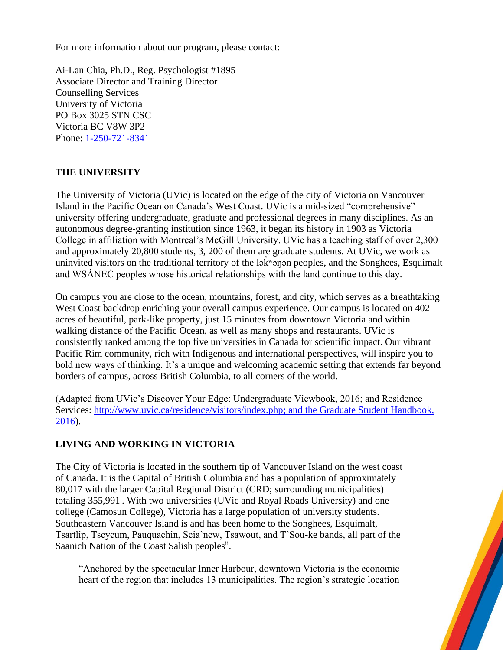For more information about our program, please contact:

Ai-Lan Chia, Ph.D., Reg. Psychologist #1895 Associate Director and Training Director Counselling Services University of Victoria PO Box 3025 STN CSC Victoria BC V8W 3P2 Phone: [1-250-721-8341](tel:1-250-721-8341)

## **THE UNIVERSITY**

The University of Victoria (UVic) is located on the edge of the city of Victoria on Vancouver Island in the Pacific Ocean on Canada's West Coast. UVic is a mid-sized "comprehensive" university offering undergraduate, graduate and professional degrees in many disciplines. As an autonomous degree-granting institution since 1963, it began its history in 1903 as Victoria College in affiliation with Montreal's McGill University. UVic has a teaching staff of over 2,300 and approximately 20,800 students, 3, 200 of them are graduate students. At UVic, we work as uninvited visitors on the traditional territory of the lak<sup>w</sup>anan peoples, and the Songhees, Esquimalt and WSÁNEĆ peoples whose historical relationships with the land continue to this day.

On campus you are close to the ocean, mountains, forest, and city, which serves as a breathtaking West Coast backdrop enriching your overall campus experience. Our campus is located on 402 acres of beautiful, park-like property, just 15 minutes from downtown Victoria and within walking distance of the Pacific Ocean, as well as many shops and restaurants. UVic is consistently ranked among the top five universities in Canada for scientific impact. Our vibrant Pacific Rim community, rich with Indigenous and international perspectives, will inspire you to bold new ways of thinking. It's a unique and welcoming academic setting that extends far beyond borders of campus, across British Columbia, to all corners of the world.

(Adapted from UVic's Discover Your Edge: Undergraduate Viewbook, 2016; and Residence Services: [http://www.uvic.ca/residence/visitors/index.php;](http://www.uvic.ca/residence/visitors/index.php) and the Graduate Student Handbook, 2016).

# **LIVING AND WORKING IN VICTORIA**

The City of Victoria is located in the southern tip of Vancouver Island on the west coast of Canada. It is the Capital of British Columbia and has a population of approximately 80,017 with the larger Capital Regional District (CRD; surrounding municipalities) totaling 355,991<sup>i</sup>. With two universities (UVic and Royal Roads University) and one college (Camosun College), Victoria has a large population of university students. Southeastern Vancouver Island is and has been home to the Songhees, Esquimalt, Tsartlip, Tseycum, Pauquachin, Scia'new, Tsawout, and T'Sou-ke bands, all part of the Saanich Nation of the Coast Salish peoplesii.

"Anchored by the spectacular Inner Harbour, downtown Victoria is the economic heart of the region that includes 13 municipalities. The region's strategic location